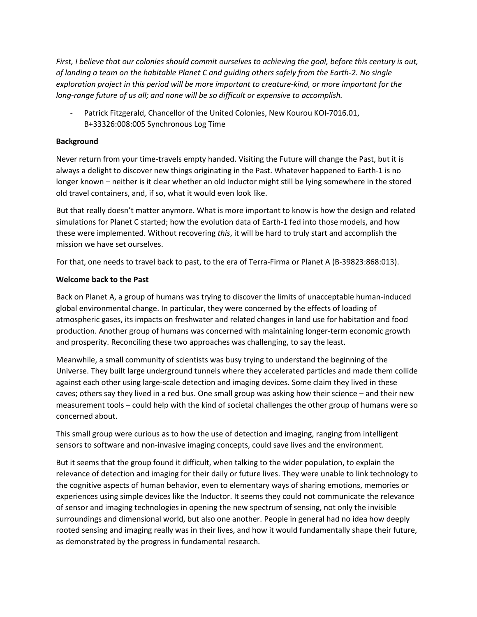*First, I believe that our colonies should commit ourselves to achieving the goal, before this century is out, of landing a team on the habitable Planet C and guiding others safely from the Earth-2. No single exploration project in this period will be more important to creature-kind, or more important for the long-range future of us all; and none will be so difficult or expensive to accomplish.*

Patrick Fitzgerald, Chancellor of the United Colonies, New Kourou KOI-7016.01, B+33326:008:005 Synchronous Log Time

## **Background**

Never return from your time-travels empty handed. Visiting the Future will change the Past, but it is always a delight to discover new things originating in the Past. Whatever happened to Earth-1 is no longer known – neither is it clear whether an old Inductor might still be lying somewhere in the stored old travel containers, and, if so, what it would even look like.

But that really doesn't matter anymore. What is more important to know is how the design and related simulations for Planet C started; how the evolution data of Earth-1 fed into those models, and how these were implemented. Without recovering *this*, it will be hard to truly start and accomplish the mission we have set ourselves.

For that, one needs to travel back to past, to the era of Terra-Firma or Planet A (B-39823:868:013).

## **Welcome back to the Past**

Back on Planet A, a group of humans was trying to discover the limits of unacceptable human-induced global environmental change. In particular, they were concerned by the effects of loading of atmospheric gases, its impacts on freshwater and related changes in land use for habitation and food production. Another group of humans was concerned with maintaining longer-term economic growth and prosperity. Reconciling these two approaches was challenging, to say the least.

Meanwhile, a small community of scientists was busy trying to understand the beginning of the Universe. They built large underground tunnels where they accelerated particles and made them collide against each other using large-scale detection and imaging devices. Some claim they lived in these caves; others say they lived in a red bus. One small group was asking how their science – and their new measurement tools – could help with the kind of societal challenges the other group of humans were so concerned about.

This small group were curious as to how the use of detection and imaging, ranging from intelligent sensors to software and non-invasive imaging concepts, could save lives and the environment.

But it seems that the group found it difficult, when talking to the wider population, to explain the relevance of detection and imaging for their daily or future lives. They were unable to link technology to the cognitive aspects of human behavior, even to elementary ways of sharing emotions, memories or experiences using simple devices like the Inductor. It seems they could not communicate the relevance of sensor and imaging technologies in opening the new spectrum of sensing, not only the invisible surroundings and dimensional world, but also one another. People in general had no idea how deeply rooted sensing and imaging really was in their lives, and how it would fundamentally shape their future, as demonstrated by the progress in fundamental research.